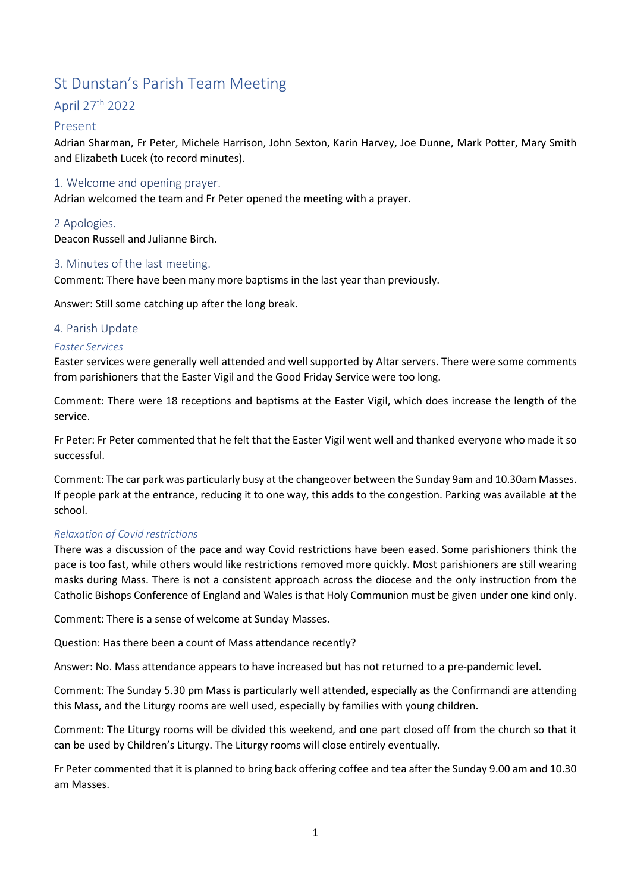# St Dunstan's Parish Team Meeting

# April 27th 2022

# Present

Adrian Sharman, Fr Peter, Michele Harrison, John Sexton, Karin Harvey, Joe Dunne, Mark Potter, Mary Smith and Elizabeth Lucek (to record minutes).

# 1. Welcome and opening prayer.

Adrian welcomed the team and Fr Peter opened the meeting with a prayer.

# 2 Apologies.

Deacon Russell and Julianne Birch.

# 3. Minutes of the last meeting.

Comment: There have been many more baptisms in the last year than previously.

Answer: Still some catching up after the long break.

# 4. Parish Update

# Easter Services

Easter services were generally well attended and well supported by Altar servers. There were some comments from parishioners that the Easter Vigil and the Good Friday Service were too long.

Comment: There were 18 receptions and baptisms at the Easter Vigil, which does increase the length of the service.

Fr Peter: Fr Peter commented that he felt that the Easter Vigil went well and thanked everyone who made it so successful.

Comment: The car park was particularly busy at the changeover between the Sunday 9am and 10.30am Masses. If people park at the entrance, reducing it to one way, this adds to the congestion. Parking was available at the school.

# Relaxation of Covid restrictions

There was a discussion of the pace and way Covid restrictions have been eased. Some parishioners think the pace is too fast, while others would like restrictions removed more quickly. Most parishioners are still wearing masks during Mass. There is not a consistent approach across the diocese and the only instruction from the Catholic Bishops Conference of England and Wales is that Holy Communion must be given under one kind only.

Comment: There is a sense of welcome at Sunday Masses.

Question: Has there been a count of Mass attendance recently?

Answer: No. Mass attendance appears to have increased but has not returned to a pre-pandemic level.

Comment: The Sunday 5.30 pm Mass is particularly well attended, especially as the Confirmandi are attending this Mass, and the Liturgy rooms are well used, especially by families with young children.

Comment: The Liturgy rooms will be divided this weekend, and one part closed off from the church so that it can be used by Children's Liturgy. The Liturgy rooms will close entirely eventually.

Fr Peter commented that it is planned to bring back offering coffee and tea after the Sunday 9.00 am and 10.30 am Masses.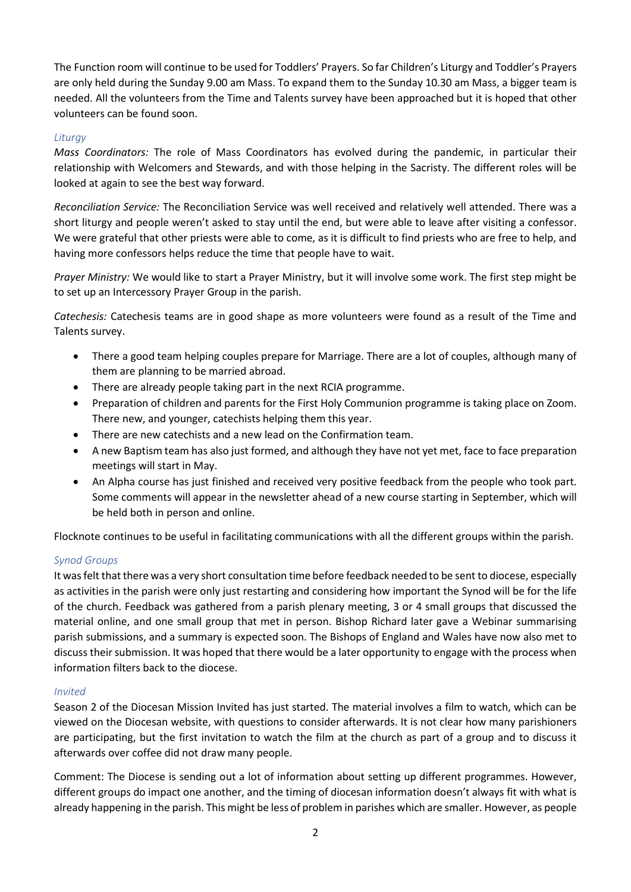The Function room will continue to be used for Toddlers' Prayers. So far Children's Liturgy and Toddler's Prayers are only held during the Sunday 9.00 am Mass. To expand them to the Sunday 10.30 am Mass, a bigger team is needed. All the volunteers from the Time and Talents survey have been approached but it is hoped that other volunteers can be found soon.

# **Liturav**

Mass Coordinators: The role of Mass Coordinators has evolved during the pandemic, in particular their relationship with Welcomers and Stewards, and with those helping in the Sacristy. The different roles will be looked at again to see the best way forward.

Reconciliation Service: The Reconciliation Service was well received and relatively well attended. There was a short liturgy and people weren't asked to stay until the end, but were able to leave after visiting a confessor. We were grateful that other priests were able to come, as it is difficult to find priests who are free to help, and having more confessors helps reduce the time that people have to wait.

Prayer Ministry: We would like to start a Prayer Ministry, but it will involve some work. The first step might be to set up an Intercessory Prayer Group in the parish.

Catechesis: Catechesis teams are in good shape as more volunteers were found as a result of the Time and Talents survey.

- There a good team helping couples prepare for Marriage. There are a lot of couples, although many of them are planning to be married abroad.
- There are already people taking part in the next RCIA programme.
- Preparation of children and parents for the First Holy Communion programme is taking place on Zoom. There new, and younger, catechists helping them this year.
- There are new catechists and a new lead on the Confirmation team.
- A new Baptism team has also just formed, and although they have not yet met, face to face preparation meetings will start in May.
- An Alpha course has just finished and received very positive feedback from the people who took part. Some comments will appear in the newsletter ahead of a new course starting in September, which will be held both in person and online.

Flocknote continues to be useful in facilitating communications with all the different groups within the parish.

# Synod Groups

It was felt that there was a very short consultation time before feedback needed to be sent to diocese, especially as activities in the parish were only just restarting and considering how important the Synod will be for the life of the church. Feedback was gathered from a parish plenary meeting, 3 or 4 small groups that discussed the material online, and one small group that met in person. Bishop Richard later gave a Webinar summarising parish submissions, and a summary is expected soon. The Bishops of England and Wales have now also met to discuss their submission. It was hoped that there would be a later opportunity to engage with the process when information filters back to the diocese.

#### Invited

Season 2 of the Diocesan Mission Invited has just started. The material involves a film to watch, which can be viewed on the Diocesan website, with questions to consider afterwards. It is not clear how many parishioners are participating, but the first invitation to watch the film at the church as part of a group and to discuss it afterwards over coffee did not draw many people.

Comment: The Diocese is sending out a lot of information about setting up different programmes. However, different groups do impact one another, and the timing of diocesan information doesn't always fit with what is already happening in the parish. This might be less of problem in parishes which are smaller. However, as people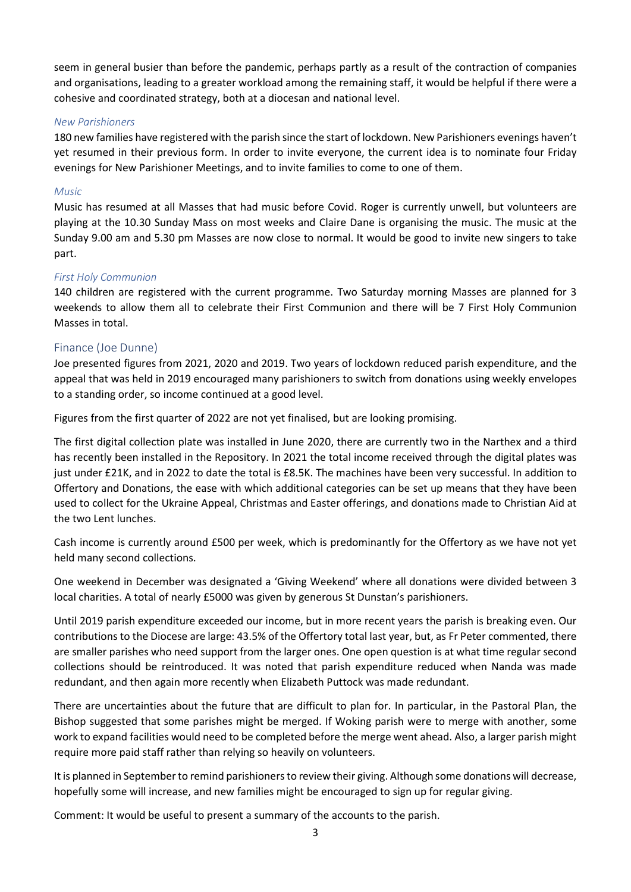seem in general busier than before the pandemic, perhaps partly as a result of the contraction of companies and organisations, leading to a greater workload among the remaining staff, it would be helpful if there were a cohesive and coordinated strategy, both at a diocesan and national level.

#### New Parishioners

180 new families have registered with the parish since the start of lockdown. New Parishioners evenings haven't yet resumed in their previous form. In order to invite everyone, the current idea is to nominate four Friday evenings for New Parishioner Meetings, and to invite families to come to one of them.

# Music

Music has resumed at all Masses that had music before Covid. Roger is currently unwell, but volunteers are playing at the 10.30 Sunday Mass on most weeks and Claire Dane is organising the music. The music at the Sunday 9.00 am and 5.30 pm Masses are now close to normal. It would be good to invite new singers to take part.

#### First Holy Communion

140 children are registered with the current programme. Two Saturday morning Masses are planned for 3 weekends to allow them all to celebrate their First Communion and there will be 7 First Holy Communion Masses in total.

# Finance (Joe Dunne)

Joe presented figures from 2021, 2020 and 2019. Two years of lockdown reduced parish expenditure, and the appeal that was held in 2019 encouraged many parishioners to switch from donations using weekly envelopes to a standing order, so income continued at a good level.

Figures from the first quarter of 2022 are not yet finalised, but are looking promising.

The first digital collection plate was installed in June 2020, there are currently two in the Narthex and a third has recently been installed in the Repository. In 2021 the total income received through the digital plates was just under £21K, and in 2022 to date the total is £8.5K. The machines have been very successful. In addition to Offertory and Donations, the ease with which additional categories can be set up means that they have been used to collect for the Ukraine Appeal, Christmas and Easter offerings, and donations made to Christian Aid at the two Lent lunches.

Cash income is currently around £500 per week, which is predominantly for the Offertory as we have not yet held many second collections.

One weekend in December was designated a 'Giving Weekend' where all donations were divided between 3 local charities. A total of nearly £5000 was given by generous St Dunstan's parishioners.

Until 2019 parish expenditure exceeded our income, but in more recent years the parish is breaking even. Our contributions to the Diocese are large: 43.5% of the Offertory total last year, but, as Fr Peter commented, there are smaller parishes who need support from the larger ones. One open question is at what time regular second collections should be reintroduced. It was noted that parish expenditure reduced when Nanda was made redundant, and then again more recently when Elizabeth Puttock was made redundant.

There are uncertainties about the future that are difficult to plan for. In particular, in the Pastoral Plan, the Bishop suggested that some parishes might be merged. If Woking parish were to merge with another, some work to expand facilities would need to be completed before the merge went ahead. Also, a larger parish might require more paid staff rather than relying so heavily on volunteers.

It is planned in September to remind parishioners to review their giving. Although some donations will decrease, hopefully some will increase, and new families might be encouraged to sign up for regular giving.

Comment: It would be useful to present a summary of the accounts to the parish.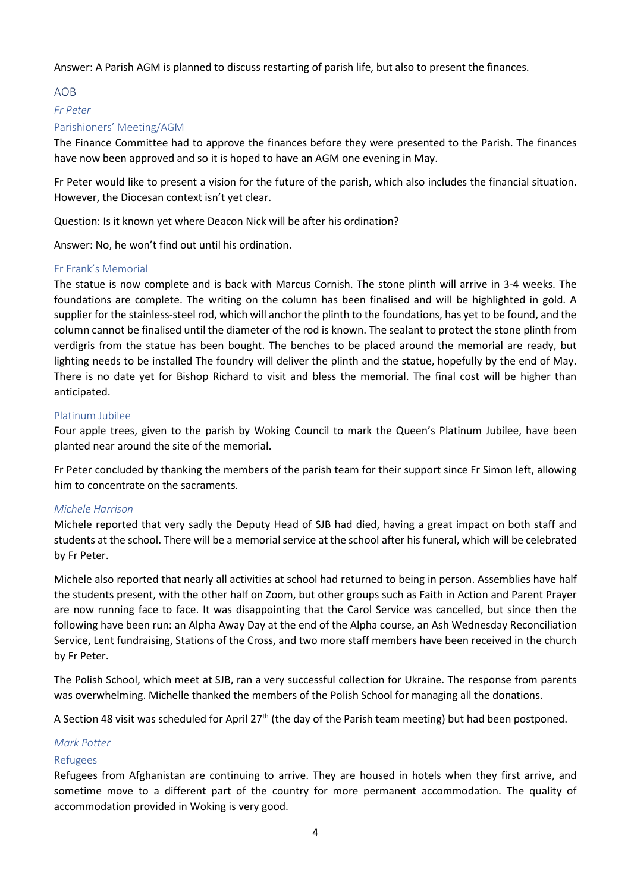Answer: A Parish AGM is planned to discuss restarting of parish life, but also to present the finances.

#### AOB

#### Fr Peter

# Parishioners' Meeting/AGM

The Finance Committee had to approve the finances before they were presented to the Parish. The finances have now been approved and so it is hoped to have an AGM one evening in May.

Fr Peter would like to present a vision for the future of the parish, which also includes the financial situation. However, the Diocesan context isn't yet clear.

Question: Is it known yet where Deacon Nick will be after his ordination?

Answer: No, he won't find out until his ordination.

#### Fr Frank's Memorial

The statue is now complete and is back with Marcus Cornish. The stone plinth will arrive in 3-4 weeks. The foundations are complete. The writing on the column has been finalised and will be highlighted in gold. A supplier for the stainless-steel rod, which will anchor the plinth to the foundations, has yet to be found, and the column cannot be finalised until the diameter of the rod is known. The sealant to protect the stone plinth from verdigris from the statue has been bought. The benches to be placed around the memorial are ready, but lighting needs to be installed The foundry will deliver the plinth and the statue, hopefully by the end of May. There is no date yet for Bishop Richard to visit and bless the memorial. The final cost will be higher than anticipated.

#### Platinum Jubilee

Four apple trees, given to the parish by Woking Council to mark the Queen's Platinum Jubilee, have been planted near around the site of the memorial.

Fr Peter concluded by thanking the members of the parish team for their support since Fr Simon left, allowing him to concentrate on the sacraments.

# Michele Harrison

Michele reported that very sadly the Deputy Head of SJB had died, having a great impact on both staff and students at the school. There will be a memorial service at the school after his funeral, which will be celebrated by Fr Peter.

Michele also reported that nearly all activities at school had returned to being in person. Assemblies have half the students present, with the other half on Zoom, but other groups such as Faith in Action and Parent Prayer are now running face to face. It was disappointing that the Carol Service was cancelled, but since then the following have been run: an Alpha Away Day at the end of the Alpha course, an Ash Wednesday Reconciliation Service, Lent fundraising, Stations of the Cross, and two more staff members have been received in the church by Fr Peter.

The Polish School, which meet at SJB, ran a very successful collection for Ukraine. The response from parents was overwhelming. Michelle thanked the members of the Polish School for managing all the donations.

A Section 48 visit was scheduled for April 27<sup>th</sup> (the day of the Parish team meeting) but had been postponed.

#### Mark Potter

#### Refugees

Refugees from Afghanistan are continuing to arrive. They are housed in hotels when they first arrive, and sometime move to a different part of the country for more permanent accommodation. The quality of accommodation provided in Woking is very good.